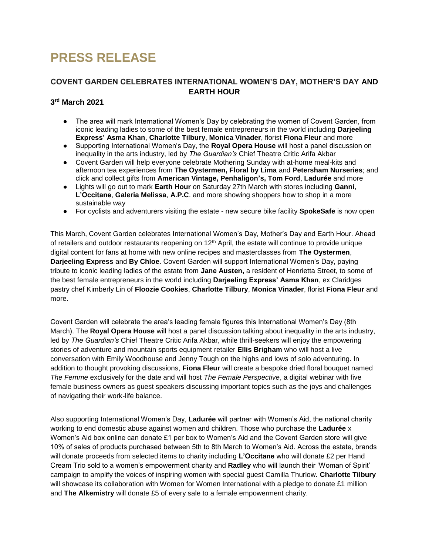# **PRESS RELEASE**

## **COVENT GARDEN CELEBRATES INTERNATIONAL WOMEN'S DAY, MOTHER'S DAY AND EARTH HOUR**

## **3 rd March 2021**

- The area will mark International Women's Day by celebrating the women of Covent Garden, from iconic leading ladies to some of the best female entrepreneurs in the world including **Darjeeling Express' Asma Khan**, **Charlotte Tilbury**, **Monica Vinader**, florist **Fiona Fleur** and more
- Supporting International Women's Day, the **Royal Opera House** will host a panel discussion on inequality in the arts industry, led by *The Guardian's* Chief Theatre Critic Arifa Akbar
- Covent Garden will help everyone celebrate Mothering Sunday with at-home meal-kits and afternoon tea experiences from **The Oystermen, Floral by Lima** and **Petersham Nurseries**; and click and collect gifts from **American Vintage, Penhaligon's, Tom Ford**, **Ladurée** and more
- Lights will go out to mark **Earth Hour** on Saturday 27th March with stores including **Ganni**, **L'Occitane**, **Galeria Melissa**, **A.P.C**. and more showing shoppers how to shop in a more sustainable way
- For cyclists and adventurers visiting the estate new secure bike facility **SpokeSafe** is now open

This March, Covent Garden celebrates International Women's Day, Mother's Day and Earth Hour. Ahead of retailers and outdoor restaurants reopening on 12<sup>th</sup> April, the estate will continue to provide unique digital content for fans at home with new online recipes and masterclasses from **The Oystermen**, **Darjeeling Express** and **By Chloe**. Covent Garden will support International Women's Day, paying tribute to iconic leading ladies of the estate from **Jane Austen,** a resident of Henrietta Street, to some of the best female entrepreneurs in the world including **Darjeeling Express' Asma Khan**, ex Claridges pastry chef Kimberly Lin of **Floozie Cookies**, **Charlotte Tilbury**, **Monica Vinader**, florist **Fiona Fleur** and more.

Covent Garden will celebrate the area's leading female figures this International Women's Day (8th March). The **Royal Opera House** will host a panel discussion talking about inequality in the arts industry, led by *The Guardian's* Chief Theatre Critic Arifa Akbar, while thrill-seekers will enjoy the empowering stories of adventure and mountain sports equipment retailer **Ellis Brigham** who will host a live conversation with Emily Woodhouse and Jenny Tough on the highs and lows of solo adventuring. In addition to thought provoking discussions, **Fiona Fleur** will create a bespoke dried floral bouquet named *The Femme* exclusively for the date and will host *The Female Perspective*, a digital webinar with five female business owners as guest speakers discussing important topics such as the joys and challenges of navigating their work-life balance.

Also supporting International Women's Day, **Ladurée** will partner with Women's Aid, the national charity working to end domestic abuse against women and children. Those who purchase the **Ladurée** x Women's Aid box online can donate £1 per box to Women's Aid and the Covent Garden store will give 10% of sales of products purchased between 5th to 8th March to Women's Aid. Across the estate, brands will donate proceeds from selected items to charity including **L'Occitane** who will donate £2 per Hand Cream Trio sold to a women's empowerment charity and **Radley** who will launch their 'Woman of Spirit' campaign to amplify the voices of inspiring women with special guest Camilla Thurlow. **Charlotte Tilbury**  will showcase its collaboration with Women for Women International with a pledge to donate £1 million and **The Alkemistry** will donate £5 of every sale to a female empowerment charity.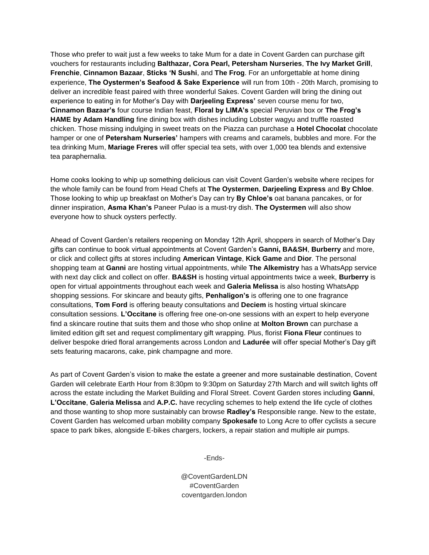Those who prefer to wait just a few weeks to take Mum for a date in Covent Garden can purchase gift vouchers for restaurants including **Balthazar, Cora Pearl, Petersham Nurseries**, **The Ivy Market Grill**, **Frenchie**, **Cinnamon Bazaar**, **Sticks 'N Sushi**, and **The Frog**. For an unforgettable at home dining experience, **The Oystermen's Seafood & Sake Experience** will run from 10th - 20th March, promising to deliver an incredible feast paired with three wonderful Sakes. Covent Garden will bring the dining out experience to eating in for Mother's Day with **Darjeeling Express'** seven course menu for two, **Cinnamon Bazaar's** four course Indian feast, **Floral by LIMA's** special Peruvian box or **The Frog's HAME by Adam Handling** fine dining box with dishes including Lobster wagyu and truffle roasted chicken. Those missing indulging in sweet treats on the Piazza can purchase a **Hotel Chocolat** chocolate hamper or one of **Petersham Nurseries'** hampers with creams and caramels, bubbles and more. For the tea drinking Mum, **Mariage Freres** will offer special tea sets, with over 1,000 tea blends and extensive tea paraphernalia.

Home cooks looking to whip up something delicious can visit Covent Garden's website where recipes for the whole family can be found from Head Chefs at **The Oystermen**, **Darjeeling Express** and **By Chloe**. Those looking to whip up breakfast on Mother's Day can try **By Chloe's** oat banana pancakes, or for dinner inspiration, **Asma Khan's** Paneer Pulao is a must-try dish. **The Oystermen** will also show everyone how to shuck oysters perfectly.

Ahead of Covent Garden's retailers reopening on Monday 12th April, shoppers in search of Mother's Day gifts can continue to book virtual appointments at Covent Garden's **Ganni, BA&SH**, **Burberry** and more, or click and collect gifts at stores including **American Vintage**, **Kick Game** and **Dior**. The personal shopping team at **Ganni** are hosting virtual appointments, while **The Alkemistry** has a WhatsApp service with next day click and collect on offer. **BA&SH** is hosting virtual appointments twice a week, **Burberry** is open for virtual appointments throughout each week and **Galeria Melissa** is also hosting WhatsApp shopping sessions. For skincare and beauty gifts, **Penhaligon's** is offering one to one fragrance consultations, **Tom Ford** is offering beauty consultations and **Deciem** is hosting virtual skincare consultation sessions. **L'Occitane** is offering free one-on-one sessions with an expert to help everyone find a skincare routine that suits them and those who shop online at **Molton Brown** can purchase a limited edition gift set and request complimentary gift wrapping. Plus, florist **Fiona Fleur** continues to deliver bespoke dried floral arrangements across London and **Ladurée** will offer special Mother's Day gift sets featuring macarons, cake, pink champagne and more.

As part of Covent Garden's vision to make the estate a greener and more sustainable destination, Covent Garden will celebrate Earth Hour from 8:30pm to 9:30pm on Saturday 27th March and will switch lights off across the estate including the Market Building and Floral Street. Covent Garden stores including **Ganni**, **L'Occitane**, **Galeria Melissa** and **A.P.C.** have recycling schemes to help extend the life cycle of clothes and those wanting to shop more sustainably can browse **Radley's** Responsible range. New to the estate, Covent Garden has welcomed urban mobility company **Spokesafe** to Long Acre to offer cyclists a secure space to park bikes, alongside E-bikes chargers, lockers, a repair station and multiple air pumps.

-Ends-

@CoventGardenLDN #CoventGarden coventgarden.london